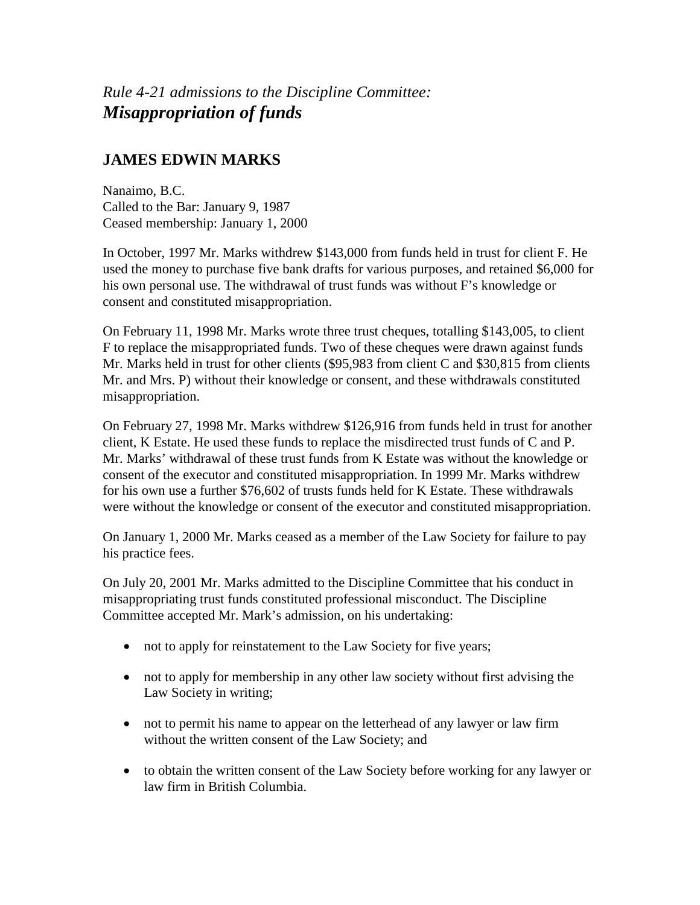*Rule 4-21 admissions to the Discipline Committee: Misappropriation of funds*

## **JAMES EDWIN MARKS**

Nanaimo, B.C. Called to the Bar: January 9, 1987 Ceased membership: January 1, 2000

In October, 1997 Mr. Marks withdrew \$143,000 from funds held in trust for client F. He used the money to purchase five bank drafts for various purposes*,* and retained \$6,000 for his own personal use. The withdrawal of trust funds was without F's knowledge or consent and constituted misappropriation.

On February 11, 1998 Mr. Marks wrote three trust cheques, totalling \$143,005, to client F to replace the misappropriated funds. Two of these cheques were drawn against funds Mr. Marks held in trust for other clients (\$95,983 from client C and \$30,815 from clients Mr. and Mrs. P) without their knowledge or consent, and these withdrawals constituted misappropriation.

On February 27, 1998 Mr. Marks withdrew \$126,916 from funds held in trust for another client, K Estate. He used these funds to replace the misdirected trust funds of C and P. Mr. Marks' withdrawal of these trust funds from K Estate was without the knowledge or consent of the executor and constituted misappropriation. In 1999 Mr. Marks withdrew for his own use a further \$76,602 of trusts funds held for K Estate. These withdrawals were without the knowledge or consent of the executor and constituted misappropriation.

On January 1, 2000 Mr. Marks ceased as a member of the Law Society for failure to pay his practice fees.

On July 20, 2001 Mr. Marks admitted to the Discipline Committee that his conduct in misappropriating trust funds constituted professional misconduct. The Discipline Committee accepted Mr. Mark's admission, on his undertaking:

- not to apply for reinstatement to the Law Society for five years;
- not to apply for membership in any other law society without first advising the Law Society in writing;
- not to permit his name to appear on the letterhead of any lawyer or law firm without the written consent of the Law Society; and
- to obtain the written consent of the Law Society before working for any lawyer or law firm in British Columbia.